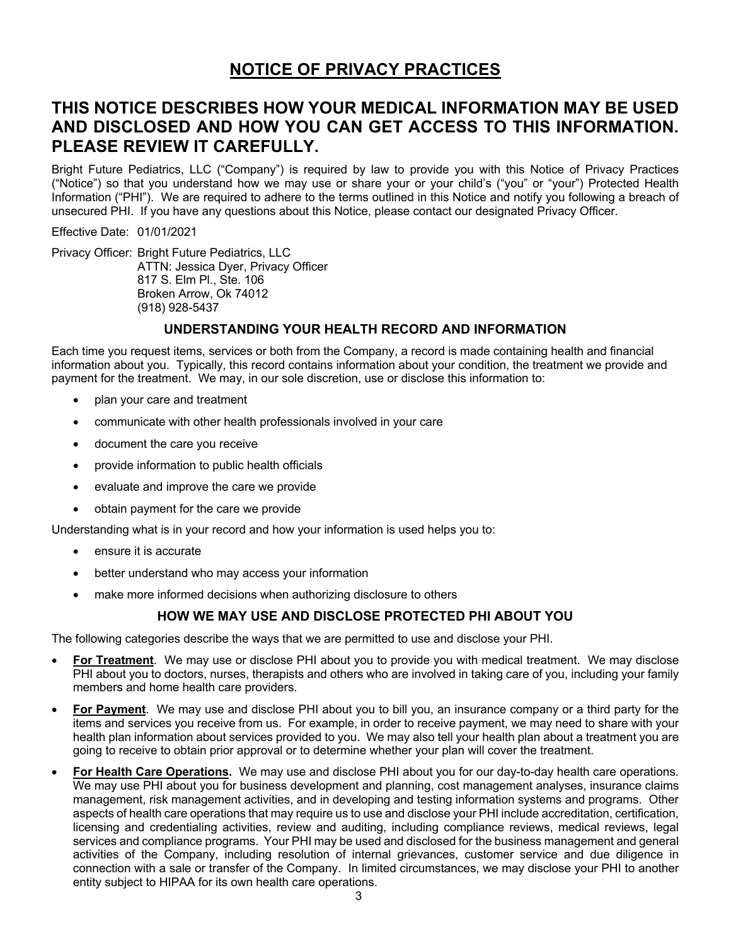# **NOTICE OF PRIVACY PRACTICES**

# **THIS NOTICE DESCRIBES HOW YOUR MEDICAL INFORMATION MAY BE USED AND DISCLOSED AND HOW YOU CAN GET ACCESS TO THIS INFORMATION. PLEASE REVIEW IT CAREFULLY.**

Bright Future Pediatrics, LLC ("Company") is required by law to provide you with this Notice of Privacy Practices ("Notice") so that you understand how we may use or share your or your child's ("you" or "your") Protected Health Information ("PHI"). We are required to adhere to the terms outlined in this Notice and notify you following a breach of unsecured PHI. If you have any questions about this Notice, please contact our designated Privacy Officer.

Effective Date: 01/01/2021

Privacy Officer: Bright Future Pediatrics, LLC ATTN: Jessica Dyer, Privacy Officer 817 S. Elm Pl., Ste. 106 Broken Arrow, Ok 74012 (918) 928-5437

### **UNDERSTANDING YOUR HEALTH RECORD AND INFORMATION**

Each time you request items, services or both from the Company, a record is made containing health and financial information about you. Typically, this record contains information about your condition, the treatment we provide and payment for the treatment. We may, in our sole discretion, use or disclose this information to:

- plan your care and treatment
- communicate with other health professionals involved in your care
- document the care you receive
- provide information to public health officials
- evaluate and improve the care we provide
- obtain payment for the care we provide

Understanding what is in your record and how your information is used helps you to:

- ensure it is accurate
- better understand who may access your information
- make more informed decisions when authorizing disclosure to others

### **HOW WE MAY USE AND DISCLOSE PROTECTED PHI ABOUT YOU**

The following categories describe the ways that we are permitted to use and disclose your PHI.

- **For Treatment**. We may use or disclose PHI about you to provide you with medical treatment. We may disclose PHI about you to doctors, nurses, therapists and others who are involved in taking care of you, including your family members and home health care providers.
- **For Payment**. We may use and disclose PHI about you to bill you, an insurance company or a third party for the items and services you receive from us. For example, in order to receive payment, we may need to share with your health plan information about services provided to you. We may also tell your health plan about a treatment you are going to receive to obtain prior approval or to determine whether your plan will cover the treatment.
- **For Health Care Operations.** We may use and disclose PHI about you for our day-to-day health care operations. We may use PHI about you for business development and planning, cost management analyses, insurance claims management, risk management activities, and in developing and testing information systems and programs. Other aspects of health care operations that may require us to use and disclose your PHI include accreditation, certification, licensing and credentialing activities, review and auditing, including compliance reviews, medical reviews, legal services and compliance programs. Your PHI may be used and disclosed for the business management and general activities of the Company, including resolution of internal grievances, customer service and due diligence in connection with a sale or transfer of the Company. In limited circumstances, we may disclose your PHI to another entity subject to HIPAA for its own health care operations.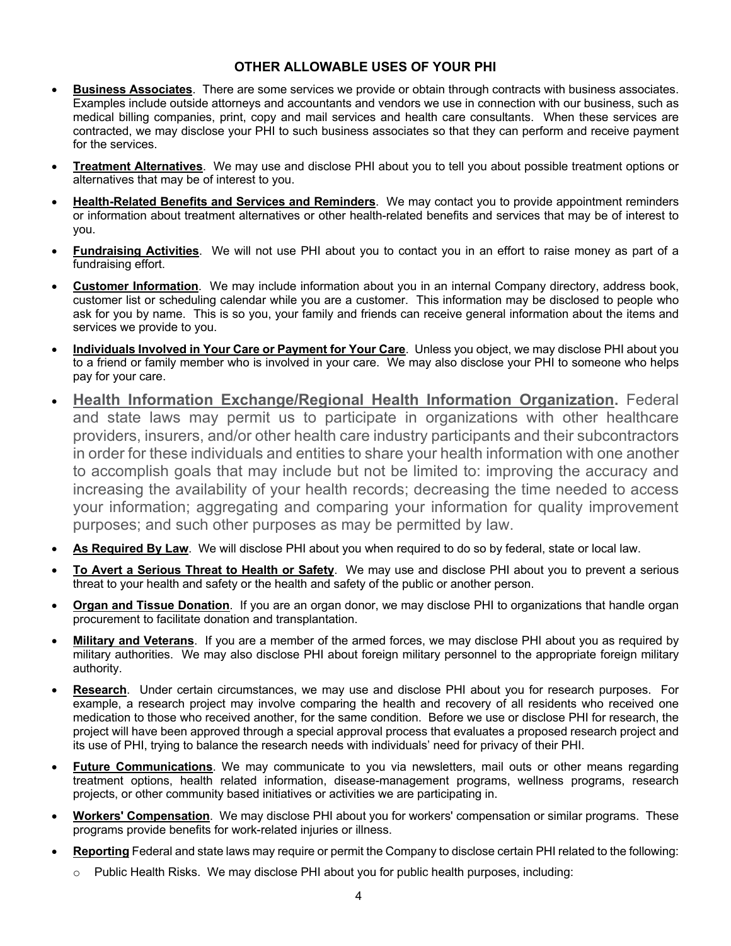## **OTHER ALLOWABLE USES OF YOUR PHI**

- **Business Associates**. There are some services we provide or obtain through contracts with business associates. Examples include outside attorneys and accountants and vendors we use in connection with our business, such as medical billing companies, print, copy and mail services and health care consultants. When these services are contracted, we may disclose your PHI to such business associates so that they can perform and receive payment for the services.
- **Treatment Alternatives**. We may use and disclose PHI about you to tell you about possible treatment options or alternatives that may be of interest to you.
- **Health-Related Benefits and Services and Reminders**. We may contact you to provide appointment reminders or information about treatment alternatives or other health-related benefits and services that may be of interest to you.
- **Fundraising Activities**. We will not use PHI about you to contact you in an effort to raise money as part of a fundraising effort.
- **Customer Information**. We may include information about you in an internal Company directory, address book, customer list or scheduling calendar while you are a customer. This information may be disclosed to people who ask for you by name. This is so you, your family and friends can receive general information about the items and services we provide to you.
- **Individuals Involved in Your Care or Payment for Your Care**. Unless you object, we may disclose PHI about you to a friend or family member who is involved in your care. We may also disclose your PHI to someone who helps pay for your care.
- **Health Information Exchange/Regional Health Information Organization.** Federal and state laws may permit us to participate in organizations with other healthcare providers, insurers, and/or other health care industry participants and their subcontractors in order for these individuals and entities to share your health information with one another to accomplish goals that may include but not be limited to: improving the accuracy and increasing the availability of your health records; decreasing the time needed to access your information; aggregating and comparing your information for quality improvement purposes; and such other purposes as may be permitted by law.
- **As Required By Law**. We will disclose PHI about you when required to do so by federal, state or local law.
- **To Avert a Serious Threat to Health or Safety**. We may use and disclose PHI about you to prevent a serious threat to your health and safety or the health and safety of the public or another person.
- **Organ and Tissue Donation**. If you are an organ donor, we may disclose PHI to organizations that handle organ procurement to facilitate donation and transplantation.
- **Military and Veterans**. If you are a member of the armed forces, we may disclose PHI about you as required by military authorities. We may also disclose PHI about foreign military personnel to the appropriate foreign military authority.
- **Research**. Under certain circumstances, we may use and disclose PHI about you for research purposes. For example, a research project may involve comparing the health and recovery of all residents who received one medication to those who received another, for the same condition. Before we use or disclose PHI for research, the project will have been approved through a special approval process that evaluates a proposed research project and its use of PHI, trying to balance the research needs with individuals' need for privacy of their PHI.
- **Future Communications**. We may communicate to you via newsletters, mail outs or other means regarding treatment options, health related information, disease-management programs, wellness programs, research projects, or other community based initiatives or activities we are participating in.
- **Workers' Compensation**. We may disclose PHI about you for workers' compensation or similar programs. These programs provide benefits for work-related injuries or illness.
- **Reporting** Federal and state laws may require or permit the Company to disclose certain PHI related to the following:
	- o Public Health Risks. We may disclose PHI about you for public health purposes, including: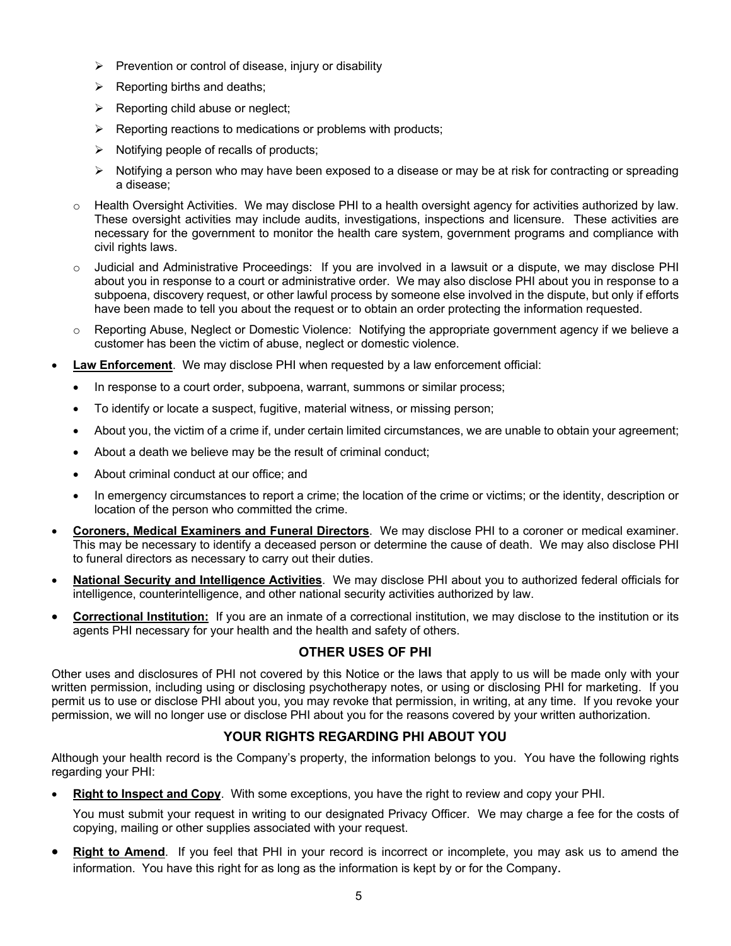- $\triangleright$  Prevention or control of disease, injury or disability
- $\triangleright$  Reporting births and deaths;
- $\triangleright$  Reporting child abuse or neglect;
- $\triangleright$  Reporting reactions to medications or problems with products;
- $\triangleright$  Notifying people of recalls of products;
- $\triangleright$  Notifying a person who may have been exposed to a disease or may be at risk for contracting or spreading a disease;
- $\circ$  Health Oversight Activities. We may disclose PHI to a health oversight agency for activities authorized by law. These oversight activities may include audits, investigations, inspections and licensure. These activities are necessary for the government to monitor the health care system, government programs and compliance with civil rights laws.
- o Judicial and Administrative Proceedings: If you are involved in a lawsuit or a dispute, we may disclose PHI about you in response to a court or administrative order. We may also disclose PHI about you in response to a subpoena, discovery request, or other lawful process by someone else involved in the dispute, but only if efforts have been made to tell you about the request or to obtain an order protecting the information requested.
- o Reporting Abuse, Neglect or Domestic Violence: Notifying the appropriate government agency if we believe a customer has been the victim of abuse, neglect or domestic violence.
- **Law Enforcement.** We may disclose PHI when requested by a law enforcement official:
	- In response to a court order, subpoena, warrant, summons or similar process;
	- To identify or locate a suspect, fugitive, material witness, or missing person;
	- About you, the victim of a crime if, under certain limited circumstances, we are unable to obtain your agreement;
	- About a death we believe may be the result of criminal conduct;
	- About criminal conduct at our office; and
	- In emergency circumstances to report a crime; the location of the crime or victims; or the identity, description or location of the person who committed the crime.
- **Coroners, Medical Examiners and Funeral Directors**. We may disclose PHI to a coroner or medical examiner. This may be necessary to identify a deceased person or determine the cause of death. We may also disclose PHI to funeral directors as necessary to carry out their duties.
- **National Security and Intelligence Activities**. We may disclose PHI about you to authorized federal officials for intelligence, counterintelligence, and other national security activities authorized by law.
- **Correctional Institution:** If you are an inmate of a correctional institution, we may disclose to the institution or its agents PHI necessary for your health and the health and safety of others.

# **OTHER USES OF PHI**

Other uses and disclosures of PHI not covered by this Notice or the laws that apply to us will be made only with your written permission, including using or disclosing psychotherapy notes, or using or disclosing PHI for marketing. If you permit us to use or disclose PHI about you, you may revoke that permission, in writing, at any time. If you revoke your permission, we will no longer use or disclose PHI about you for the reasons covered by your written authorization.

# **YOUR RIGHTS REGARDING PHI ABOUT YOU**

Although your health record is the Company's property, the information belongs to you. You have the following rights regarding your PHI:

• **Right to Inspect and Copy**. With some exceptions, you have the right to review and copy your PHI.

You must submit your request in writing to our designated Privacy Officer. We may charge a fee for the costs of copying, mailing or other supplies associated with your request.

• **Right to Amend**. If you feel that PHI in your record is incorrect or incomplete, you may ask us to amend the information. You have this right for as long as the information is kept by or for the Company.